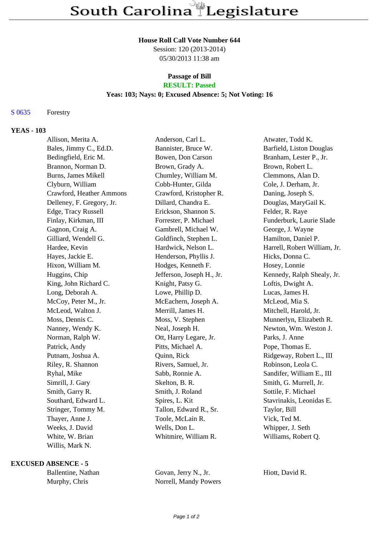#### **House Roll Call Vote Number 644**

Session: 120 (2013-2014) 05/30/2013 11:38 am

# **Passage of Bill**

## **RESULT: Passed**

### **Yeas: 103; Nays: 0; Excused Absence: 5; Not Voting: 16**

### S 0635 Forestry

### **YEAS - 103**

| Allison, Merita A.        | Anderson, Carl L.         | Atwater, Todd K.             |
|---------------------------|---------------------------|------------------------------|
| Bales, Jimmy C., Ed.D.    | Bannister, Bruce W.       | Barfield, Liston Douglas     |
| Bedingfield, Eric M.      | Bowen, Don Carson         | Branham, Lester P., Jr.      |
| Brannon, Norman D.        | Brown, Grady A.           | Brown, Robert L.             |
| Burns, James Mikell       | Chumley, William M.       | Clemmons, Alan D.            |
| Clyburn, William          | Cobb-Hunter, Gilda        | Cole, J. Derham, Jr.         |
| Crawford, Heather Ammons  | Crawford, Kristopher R.   | Daning, Joseph S.            |
| Delleney, F. Gregory, Jr. | Dillard, Chandra E.       | Douglas, MaryGail K.         |
| Edge, Tracy Russell       | Erickson, Shannon S.      | Felder, R. Raye              |
| Finlay, Kirkman, III      | Forrester, P. Michael     | Funderburk, Laurie Slade     |
| Gagnon, Craig A.          | Gambrell, Michael W.      | George, J. Wayne             |
| Gilliard, Wendell G.      | Goldfinch, Stephen L.     | Hamilton, Daniel P.          |
| Hardee, Kevin             | Hardwick, Nelson L.       | Harrell, Robert William, Jr. |
| Hayes, Jackie E.          | Henderson, Phyllis J.     | Hicks, Donna C.              |
| Hixon, William M.         | Hodges, Kenneth F.        | Hosey, Lonnie                |
| Huggins, Chip             | Jefferson, Joseph H., Jr. | Kennedy, Ralph Shealy, Jr.   |
| King, John Richard C.     | Knight, Patsy G.          | Loftis, Dwight A.            |
| Long, Deborah A.          | Lowe, Phillip D.          | Lucas, James H.              |
| McCoy, Peter M., Jr.      | McEachern, Joseph A.      | McLeod, Mia S.               |
| McLeod, Walton J.         | Merrill, James H.         | Mitchell, Harold, Jr.        |
| Moss, Dennis C.           | Moss, V. Stephen          | Munnerlyn, Elizabeth R.      |
| Nanney, Wendy K.          | Neal, Joseph H.           | Newton, Wm. Weston J.        |
| Norman, Ralph W.          | Ott, Harry Legare, Jr.    | Parks, J. Anne               |
| Patrick, Andy             | Pitts, Michael A.         | Pope, Thomas E.              |
| Putnam, Joshua A.         | Quinn, Rick               | Ridgeway, Robert L., III     |
| Riley, R. Shannon         | Rivers, Samuel, Jr.       | Robinson, Leola C.           |
| Ryhal, Mike               | Sabb, Ronnie A.           | Sandifer, William E., III    |
| Simrill, J. Gary          | Skelton, B. R.            | Smith, G. Murrell, Jr.       |
| Smith, Garry R.           | Smith, J. Roland          | Sottile, F. Michael          |
| Southard, Edward L.       | Spires, L. Kit            | Stavrinakis, Leonidas E.     |
| Stringer, Tommy M.        | Tallon, Edward R., Sr.    | Taylor, Bill                 |
| Thayer, Anne J.           | Toole, McLain R.          | Vick, Ted M.                 |
| Weeks, J. David           | Wells, Don L.             | Whipper, J. Seth             |
| White, W. Brian           | Whitmire, William R.      | Williams, Robert Q.          |
| Willis, Mark N.           |                           |                              |

#### **EXCUSED ABSENCE - 5**

| Ballentine, Nathan |
|--------------------|
| Murphy, Chris      |

Govan, Jerry N., Jr. Hiott, David R. Norrell, Mandy Powers